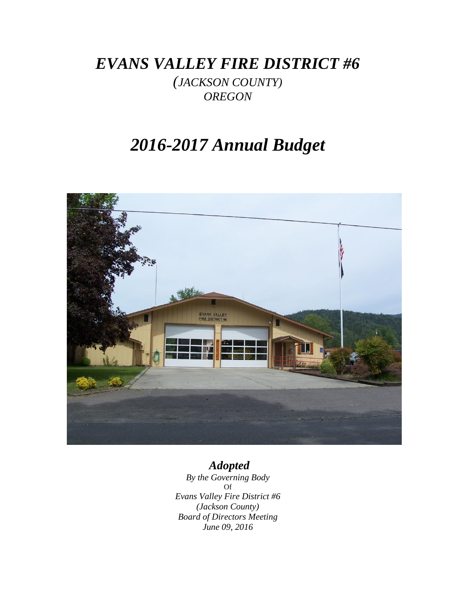*EVANS VALLEY FIRE DISTRICT #6*

*(JACKSON COUNTY) OREGON*

# *2016-2017 Annual Budget*



# *Adopted*

*By the Governing Body* Of *Evans Valley Fire District #6 (Jackson County) Board of Directors Meeting June 09, 2016*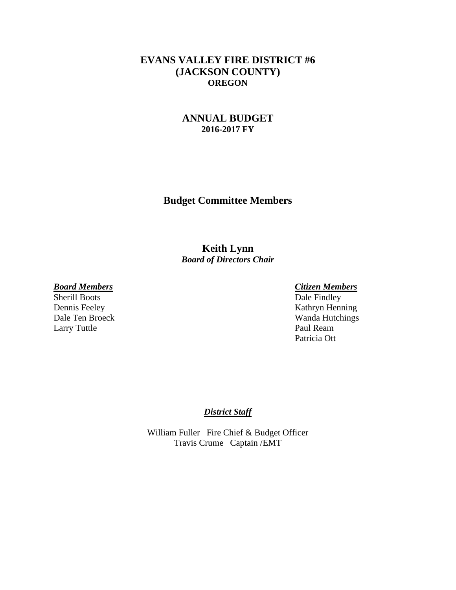## **EVANS VALLEY FIRE DISTRICT #6 (JACKSON COUNTY) OREGON**

## **ANNUAL BUDGET 2016-2017 FY**

**Budget Committee Members**

**Keith Lynn** *Board of Directors Chair*

Sherill Boots Larry Tuttle Paul Ream

*Board Members Citizen Members* Dennis Feeley Kathryn Henning Dale Ten Broeck Wanda Hutchings Patricia Ott

### *District Staff*

William Fuller Fire Chief & Budget Officer Travis Crume Captain /EMT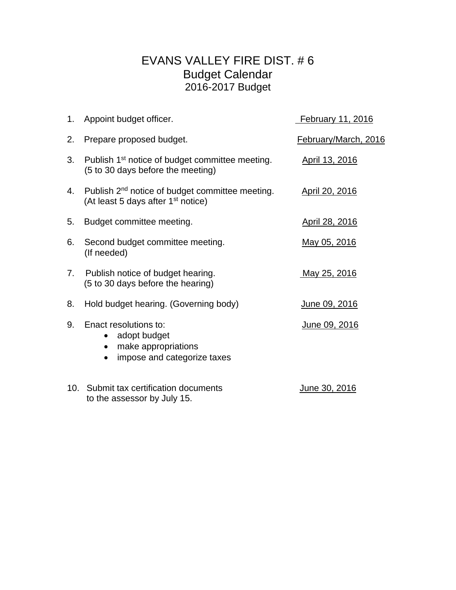## EVANS VALLEY FIRE DIST. # 6 Budget Calendar 2016-2017 Budget

|    | 1. Appoint budget officer.                                                                                    | February 11, 2016    |
|----|---------------------------------------------------------------------------------------------------------------|----------------------|
| 2. | Prepare proposed budget.                                                                                      | February/March, 2016 |
| 3. | Publish 1 <sup>st</sup> notice of budget committee meeting.<br>(5 to 30 days before the meeting)              | April 13, 2016       |
| 4. | Publish 2 <sup>nd</sup> notice of budget committee meeting.<br>(At least 5 days after 1 <sup>st</sup> notice) | April 20, 2016       |
| 5. | Budget committee meeting.                                                                                     | April 28, 2016       |
| 6. | Second budget committee meeting.<br>(If needed)                                                               | May 05, 2016         |
| 7. | Publish notice of budget hearing.<br>(5 to 30 days before the hearing)                                        | May 25, 2016         |
| 8. | Hold budget hearing. (Governing body)                                                                         | <u>June 09, 2016</u> |
| 9. | Enact resolutions to:<br>adopt budget<br>$\bullet$<br>make appropriations<br>impose and categorize taxes      | June 09, 2016        |
|    | 10. Submit tax certification documents<br>to the assessor by July 15.                                         | June 30, 2016        |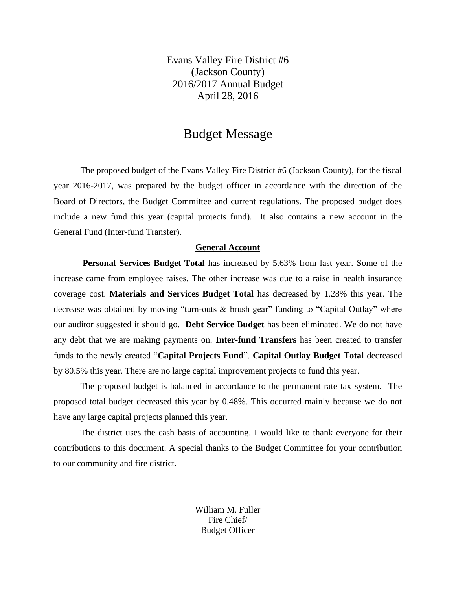Evans Valley Fire District #6 (Jackson County) 2016/2017 Annual Budget April 28, 2016

## Budget Message

The proposed budget of the Evans Valley Fire District #6 (Jackson County), for the fiscal year 2016-2017, was prepared by the budget officer in accordance with the direction of the Board of Directors, the Budget Committee and current regulations. The proposed budget does include a new fund this year (capital projects fund). It also contains a new account in the General Fund (Inter-fund Transfer).

### **General Account**

**Personal Services Budget Total** has increased by 5.63% from last year. Some of the increase came from employee raises. The other increase was due to a raise in health insurance coverage cost. **Materials and Services Budget Total** has decreased by 1.28% this year. The decrease was obtained by moving "turn-outs & brush gear" funding to "Capital Outlay" where our auditor suggested it should go. **Debt Service Budget** has been eliminated. We do not have any debt that we are making payments on. **Inter-fund Transfers** has been created to transfer funds to the newly created "**Capital Projects Fund**". **Capital Outlay Budget Total** decreased by 80.5% this year. There are no large capital improvement projects to fund this year.

The proposed budget is balanced in accordance to the permanent rate tax system. The proposed total budget decreased this year by 0.48%. This occurred mainly because we do not have any large capital projects planned this year.

The district uses the cash basis of accounting. I would like to thank everyone for their contributions to this document. A special thanks to the Budget Committee for your contribution to our community and fire district.

> William M. Fuller Fire Chief/ Budget Officer

\_\_\_\_\_\_\_\_\_\_\_\_\_\_\_\_\_\_\_\_\_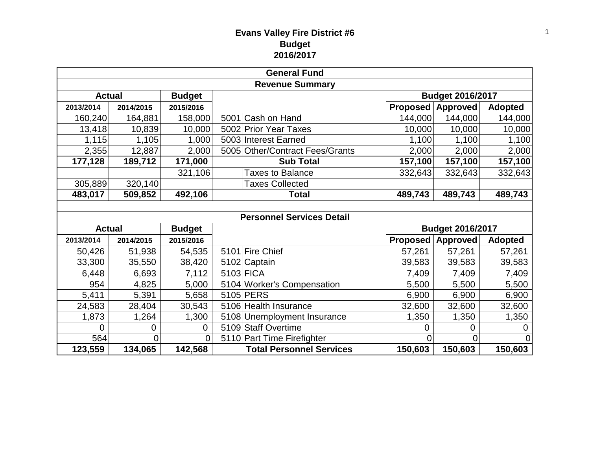## **Evans Valley Fire District #6 Budget 2016/2017**

| <b>General Fund</b>    |               |                |  |                                  |                 |                          |                |  |  |  |
|------------------------|---------------|----------------|--|----------------------------------|-----------------|--------------------------|----------------|--|--|--|
| <b>Revenue Summary</b> |               |                |  |                                  |                 |                          |                |  |  |  |
| <b>Actual</b>          | <b>Budget</b> |                |  | <b>Budget 2016/2017</b>          |                 |                          |                |  |  |  |
| 2013/2014              | 2014/2015     | 2015/2016      |  |                                  | <b>Proposed</b> | <b>Approved</b>          | <b>Adopted</b> |  |  |  |
| 160,240                | 164,881       | 158,000        |  | 5001 Cash on Hand                | 144,000         | 144,000                  | 144,000        |  |  |  |
| 13,418                 | 10,839        | 10,000         |  | 5002 Prior Year Taxes            | 10,000          | 10,000                   | 10,000         |  |  |  |
| 1,115                  | 1,105         | 1,000          |  | 5003 Interest Earned             | 1,100           | 1,100                    | 1,100          |  |  |  |
| 2,355                  | 12,887        | 2,000          |  | 5005 Other/Contract Fees/Grants  | 2,000           | 2,000                    | 2,000          |  |  |  |
| 177,128                | 189,712       | 171,000        |  | <b>Sub Total</b>                 | 157,100         | 157,100                  | 157,100        |  |  |  |
|                        |               | 321,106        |  | <b>Taxes to Balance</b>          | 332,643         | 332,643                  | 332,643        |  |  |  |
| 305,889                | 320,140       |                |  | <b>Taxes Collected</b>           |                 |                          |                |  |  |  |
| 483,017                | 509,852       | 492,106        |  | <b>Total</b>                     | 489,743         | 489,743                  | 489,743        |  |  |  |
|                        |               |                |  |                                  |                 |                          |                |  |  |  |
|                        |               |                |  | <b>Personnel Services Detail</b> |                 |                          |                |  |  |  |
| <b>Actual</b>          |               | <b>Budget</b>  |  |                                  |                 | <b>Budget 2016/2017</b>  |                |  |  |  |
| 2013/2014              | 2014/2015     | 2015/2016      |  |                                  |                 | <b>Proposed Approved</b> | <b>Adopted</b> |  |  |  |
| 50,426                 | 51,938        | 54,535         |  | 5101 Fire Chief                  | 57,261          | 57,261                   | 57,261         |  |  |  |
| 33,300                 | 35,550        | 38,420         |  | 5102 Captain                     | 39,583          | 39,583                   | 39,583         |  |  |  |
| 6,448                  | 6,693         | 7,112          |  | 5103 FICA                        | 7,409           | 7,409                    | 7,409          |  |  |  |
| 954                    | 4,825         | 5,000          |  | 5104 Worker's Compensation       | 5,500           | 5,500                    | 5,500          |  |  |  |
| 5,411                  | 5,391         | 5,658          |  | 5105 PERS                        | 6,900           | 6,900                    | 6,900          |  |  |  |
| 24,583                 | 28,404        | 30,543         |  | 5106 Health Insurance            | 32,600          | 32,600                   | 32,600         |  |  |  |
| 1,873                  | 1,264         | 1,300          |  | 5108 Unemployment Insurance      | 1,350           | 1,350                    | 1,350          |  |  |  |
| 0                      | 0             | $\overline{0}$ |  | 5109 Staff Overtime              | 0               | 0                        | 0              |  |  |  |
| 564                    | 0             | $\Omega$       |  | 5110 Part Time Firefighter       | 0               | 0                        | 0              |  |  |  |
| 123,559                | 134,065       | 142,568        |  | <b>Total Personnel Services</b>  | 150,603         | 150,603                  | 150,603        |  |  |  |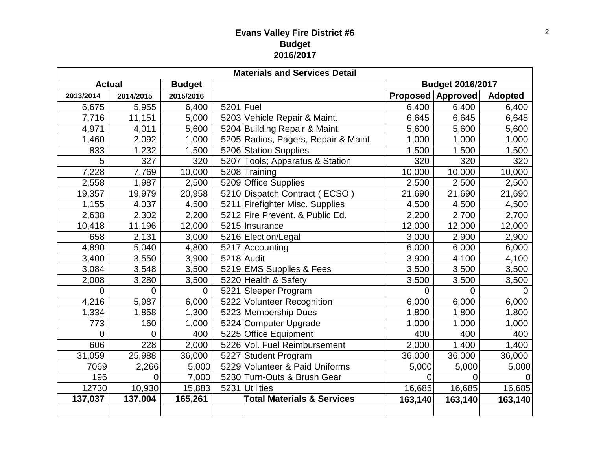## **Evans Valley Fire District #6 Budget 2016/2017**

| <b>Materials and Services Detail</b> |                |                |             |                                       |                         |                          |                |  |
|--------------------------------------|----------------|----------------|-------------|---------------------------------------|-------------------------|--------------------------|----------------|--|
| <b>Budget</b><br><b>Actual</b>       |                |                |             |                                       | <b>Budget 2016/2017</b> |                          |                |  |
| 2013/2014                            | 2014/2015      | 2015/2016      |             |                                       |                         | <b>Proposed Approved</b> | <b>Adopted</b> |  |
| 6,675                                | 5,955          | 6,400          | $5201$ Fuel |                                       | 6,400                   | 6,400                    | 6,400          |  |
| 7,716                                | 11,151         | 5,000          |             | 5203 Vehicle Repair & Maint.          | 6,645                   | 6,645                    | 6,645          |  |
| 4,971                                | 4,011          | 5,600          |             | 5204 Building Repair & Maint.         | 5,600                   | 5,600                    | 5,600          |  |
| 1,460                                | 2,092          | 1,000          |             | 5205 Radios, Pagers, Repair & Maint.  | 1,000                   | 1,000                    | 1,000          |  |
| 833                                  | 1,232          | 1,500          |             | 5206 Station Supplies                 | 1,500                   | 1,500                    | 1,500          |  |
| 5                                    | 327            | 320            |             | 5207 Tools; Apparatus & Station       | 320                     | 320                      | 320            |  |
| 7,228                                | 7,769          | 10,000         |             | 5208 Training                         | 10,000                  | 10,000                   | 10,000         |  |
| 2,558                                | 1,987          | 2,500          |             | 5209 Office Supplies                  | 2,500                   | 2,500                    | 2,500          |  |
| 19,357                               | 19,979         | 20,958         |             | 5210 Dispatch Contract (ECSO)         | 21,690                  | 21,690                   | 21,690         |  |
| 1,155                                | 4,037          | 4,500          |             | 5211 Firefighter Misc. Supplies       | 4,500                   | 4,500                    | 4,500          |  |
| 2,638                                | 2,302          | 2,200          |             | 5212 Fire Prevent. & Public Ed.       | 2,200                   | 2,700                    | 2,700          |  |
| 10,418                               | 11,196         | 12,000         |             | 5215 Insurance                        | 12,000                  | 12,000                   | 12,000         |  |
| 658                                  | 2,131          | 3,000          |             | 5216 Election/Legal                   | 3,000                   | 2,900                    | 2,900          |  |
| 4,890                                | 5,040          | 4,800          |             | 5217 Accounting                       | 6,000                   | 6,000                    | 6,000          |  |
| 3,400                                | 3,550          | 3,900          |             | $5218$ Audit                          | 3,900                   | 4,100                    | 4,100          |  |
| 3,084                                | 3,548          | 3,500          |             | 5219 EMS Supplies & Fees              | 3,500                   | 3,500                    | 3,500          |  |
| 2,008                                | 3,280          | 3,500          |             | 5220 Health & Safety                  | 3,500                   | 3,500                    | 3,500          |  |
| 0                                    | $\overline{0}$ | $\overline{0}$ |             | 5221 Sleeper Program                  | 0                       | $\overline{0}$           | $\overline{0}$ |  |
| 4,216                                | 5,987          | 6,000          |             | 5222 Volunteer Recognition            | 6,000                   | 6,000                    | 6,000          |  |
| 1,334                                | 1,858          | 1,300          |             | 5223 Membership Dues                  | 1,800                   | 1,800                    | 1,800          |  |
| 773                                  | 160            | 1,000          |             | 5224 Computer Upgrade                 | 1,000                   | 1,000                    | 1,000          |  |
| 0                                    | $\overline{0}$ | 400            |             | 5225 Office Equipment                 | 400                     | 400                      | 400            |  |
| 606                                  | 228            | 2,000          |             | 5226 Vol. Fuel Reimbursement          | 2,000                   | 1,400                    | 1,400          |  |
| 31,059                               | 25,988         | 36,000         |             | 5227 Student Program                  | 36,000                  | 36,000                   | 36,000         |  |
| 7069                                 | 2,266          | 5,000          |             | 5229 Volunteer & Paid Uniforms        | 5,000                   | 5,000                    | 5,000          |  |
| 196                                  | 0              | 7,000          |             | 5230 Turn-Outs & Brush Gear           | 0                       | 0                        |                |  |
| 12730                                | 10,930         | 15,883         |             | 5231 Utilities                        | 16,685                  | 16,685                   | 16,685         |  |
| 137,037                              | 137,004        | 165,261        |             | <b>Total Materials &amp; Services</b> | 163,140                 | 163,140                  | 163,140        |  |
|                                      |                |                |             |                                       |                         |                          |                |  |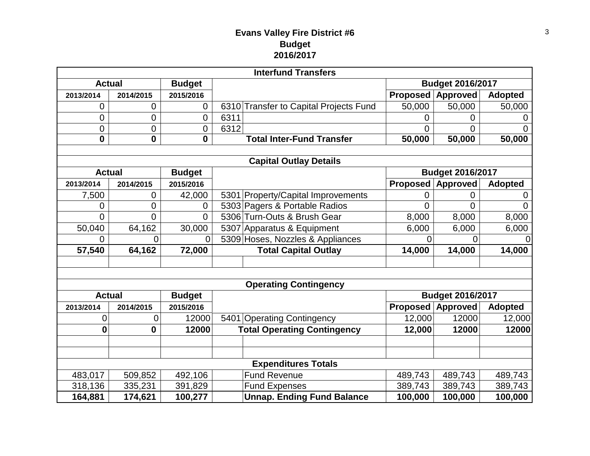## **Evans Valley Fire District #6 Budget 2016/2017**

| <b>Interfund Transfers</b>    |                |                  |                                        |                         |                 |                |  |  |  |
|-------------------------------|----------------|------------------|----------------------------------------|-------------------------|-----------------|----------------|--|--|--|
| <b>Actual</b>                 |                | <b>Budget</b>    |                                        | <b>Budget 2016/2017</b> |                 |                |  |  |  |
| 2013/2014                     | 2014/2015      | 2015/2016        |                                        | <b>Proposed</b>         | <b>Approved</b> | <b>Adopted</b> |  |  |  |
| 0                             | 0              | $\mathbf 0$      | 6310 Transfer to Capital Projects Fund | 50,000                  | 50,000          | 50,000         |  |  |  |
| 0                             | $\mathbf 0$    | 0                | 6311                                   | 0                       | 0               | 0              |  |  |  |
| 0                             | $\overline{0}$ | $\boldsymbol{0}$ | 6312                                   | 0                       | $\overline{0}$  | $\Omega$       |  |  |  |
| $\mathbf 0$                   | $\mathbf 0$    | $\mathbf{0}$     | <b>Total Inter-Fund Transfer</b>       | 50,000                  | 50,000          | 50,000         |  |  |  |
|                               |                |                  |                                        |                         |                 |                |  |  |  |
| <b>Capital Outlay Details</b> |                |                  |                                        |                         |                 |                |  |  |  |
| <b>Actual</b>                 |                | <b>Budget</b>    |                                        | <b>Budget 2016/2017</b> |                 |                |  |  |  |
| 2013/2014                     | 2014/2015      | 2015/2016        |                                        | <b>Proposed</b>         | <b>Approved</b> | <b>Adopted</b> |  |  |  |
| 7,500                         | 0              | 42,000           | 5301 Property/Capital Improvements     | 0                       | 0               | 0              |  |  |  |
| 0                             | $\overline{0}$ | 0                | 5303 Pagers & Portable Radios          | 0                       | $\overline{0}$  | 0              |  |  |  |
| 0                             | $\overline{0}$ | $\Omega$         | 5306 Turn-Outs & Brush Gear            | 8,000                   | 8,000           | 8,000          |  |  |  |
| 50,040                        | 64,162         | 30,000           | 5307 Apparatus & Equipment             | 6,000                   | 6,000           | 6,000          |  |  |  |
| 0                             | 0              | $\overline{0}$   | 5309 Hoses, Nozzles & Appliances       | 0                       | 0               | 0              |  |  |  |
| 57,540                        | 64,162         | 72,000           | <b>Total Capital Outlay</b>            | 14,000                  | 14,000          | 14,000         |  |  |  |
|                               |                |                  |                                        |                         |                 |                |  |  |  |
|                               |                |                  |                                        |                         |                 |                |  |  |  |
| <b>Operating Contingency</b>  |                |                  |                                        |                         |                 |                |  |  |  |
| <b>Actual</b>                 |                | <b>Budget</b>    |                                        | <b>Budget 2016/2017</b> |                 |                |  |  |  |
| 2013/2014                     | 2014/2015      | 2015/2016        |                                        | <b>Proposed</b>         | <b>Approved</b> | <b>Adopted</b> |  |  |  |
| 0                             | 0              | 12000            | 5401 Operating Contingency             | 12,000                  | 12000           | 12,000         |  |  |  |
| 0                             | 0              | 12000            | <b>Total Operating Contingency</b>     | 12,000                  | 12000           | 12000          |  |  |  |
|                               |                |                  |                                        |                         |                 |                |  |  |  |
|                               |                |                  |                                        |                         |                 |                |  |  |  |
| <b>Expenditures Totals</b>    |                |                  |                                        |                         |                 |                |  |  |  |
| 483,017                       | 509,852        | 492,106          | <b>Fund Revenue</b>                    | 489,743                 | 489,743         | 489,743        |  |  |  |
| 318,136                       | 335,231        | 391,829          | <b>Fund Expenses</b>                   | 389,743                 | 389,743         | 389,743        |  |  |  |
| 164,881                       | 174,621        | 100,277          | <b>Unnap. Ending Fund Balance</b>      | 100,000                 | 100,000         | 100,000        |  |  |  |